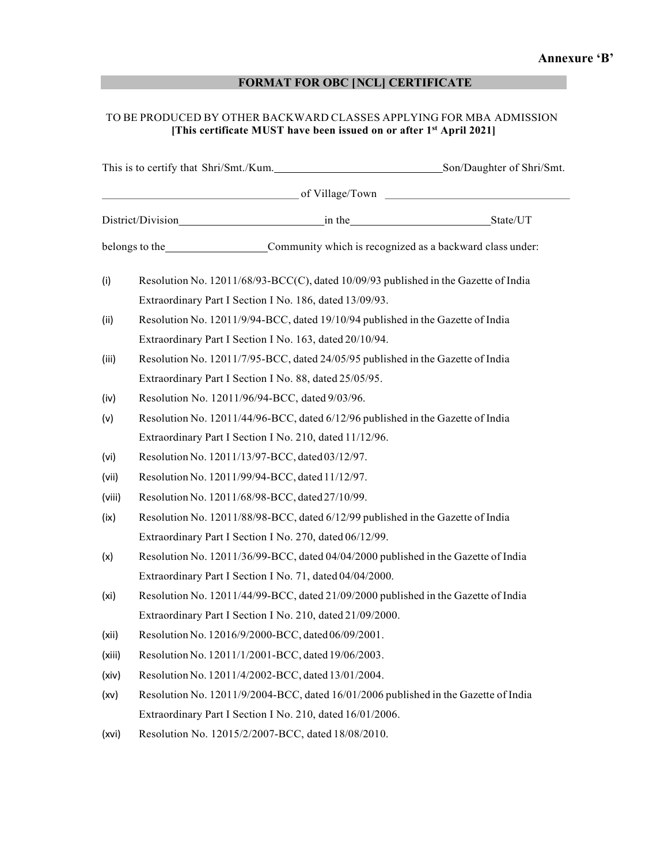## FORMAT FOR OBC [NCL] CERTIFICATE

## TO BE PRODUCED BY OTHER BACKWARD CLASSES APPLYING FOR MBA ADMISSION [This certificate MUST have been issued on or after 1st April 2021]

|        | This is to certify that Shri/Smt./Kum.<br>Son/Daughter of Shri/Smt.                 |  |
|--------|-------------------------------------------------------------------------------------|--|
|        | $\overline{\text{of Village/Town}}$ $\overline{\text{or}}$                          |  |
|        |                                                                                     |  |
|        | belongs to the <u>Community</u> which is recognized as a backward class under:      |  |
| (i)    | Resolution No. 12011/68/93-BCC(C), dated 10/09/93 published in the Gazette of India |  |
|        | Extraordinary Part I Section I No. 186, dated 13/09/93.                             |  |
| (ii)   | Resolution No. 12011/9/94-BCC, dated 19/10/94 published in the Gazette of India     |  |
|        | Extraordinary Part I Section I No. 163, dated 20/10/94.                             |  |
| (iii)  | Resolution No. 12011/7/95-BCC, dated 24/05/95 published in the Gazette of India     |  |
|        | Extraordinary Part I Section I No. 88, dated 25/05/95.                              |  |
| (iv)   | Resolution No. 12011/96/94-BCC, dated 9/03/96.                                      |  |
| (v)    | Resolution No. 12011/44/96-BCC, dated 6/12/96 published in the Gazette of India     |  |
|        | Extraordinary Part I Section I No. 210, dated 11/12/96.                             |  |
| (vi)   | Resolution No. 12011/13/97-BCC, dated 03/12/97.                                     |  |
| (vii)  | Resolution No. 12011/99/94-BCC, dated 11/12/97.                                     |  |
| (viii) | Resolution No. 12011/68/98-BCC, dated 27/10/99.                                     |  |
| (ix)   | Resolution No. 12011/88/98-BCC, dated 6/12/99 published in the Gazette of India     |  |
|        | Extraordinary Part I Section I No. 270, dated 06/12/99.                             |  |
| (x)    | Resolution No. 12011/36/99-BCC, dated 04/04/2000 published in the Gazette of India  |  |
|        | Extraordinary Part I Section I No. 71, dated 04/04/2000.                            |  |
| (xi)   | Resolution No. 12011/44/99-BCC, dated 21/09/2000 published in the Gazette of India  |  |
|        | Extraordinary Part I Section I No. 210, dated 21/09/2000.                           |  |
| (xii)  | Resolution No. 12016/9/2000-BCC, dated 06/09/2001.                                  |  |
| (xiii) | Resolution No. 12011/1/2001-BCC, dated 19/06/2003.                                  |  |
| (xiv)  | Resolution No. 12011/4/2002-BCC, dated 13/01/2004.                                  |  |
| (xv)   | Resolution No. 12011/9/2004-BCC, dated 16/01/2006 published in the Gazette of India |  |
|        | Extraordinary Part I Section I No. 210, dated 16/01/2006.                           |  |
| (xvi)  | Resolution No. 12015/2/2007-BCC, dated 18/08/2010.                                  |  |
|        |                                                                                     |  |